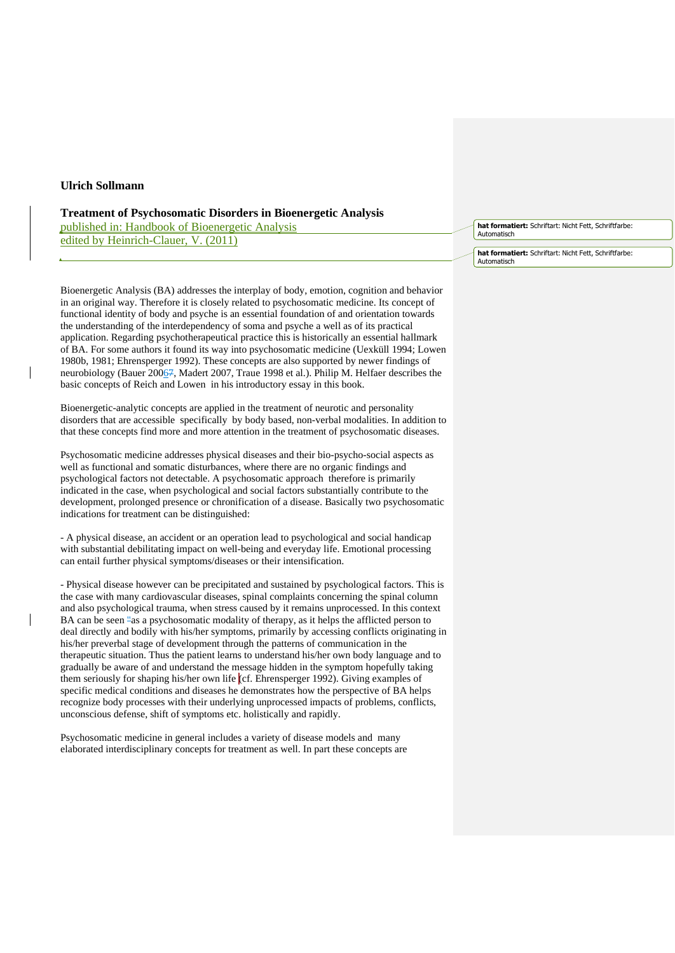## **Ulrich Sollmann**

## **Treatment of Psychosomatic Disorders in Bioenergetic Analysis**

published in: Handbook of Bioenergetic Analysis edited by Heinrich-Clauer, V. (2011)

Bioenergetic Analysis (BA) addresses the interplay of body, emotion, cognition and behavior in an original way. Therefore it is closely related to psychosomatic medicine. Its concept of functional identity of body and psyche is an essential foundation of and orientation towards the understanding of the interdependency of soma and psyche a well as of its practical application. Regarding psychotherapeutical practice this is historically an essential hallmark of BA. For some authors it found its way into psychosomatic medicine (Uexküll 1994; Lowen 1980b, 1981; Ehrensperger 1992). These concepts are also supported by newer findings of neurobiology (Bauer 20067, Madert 2007, Traue 1998 et al.). Philip M. Helfaer describes the basic concepts of Reich and Lowen in his introductory essay in this book.

Bioenergetic-analytic concepts are applied in the treatment of neurotic and personality disorders that are accessible specifically by body based, non-verbal modalities. In addition to that these concepts find more and more attention in the treatment of psychosomatic diseases.

Psychosomatic medicine addresses physical diseases and their bio-psycho-social aspects as well as functional and somatic disturbances, where there are no organic findings and psychological factors not detectable. A psychosomatic approach therefore is primarily indicated in the case, when psychological and social factors substantially contribute to the development, prolonged presence or chronification of a disease. Basically two psychosomatic indications for treatment can be distinguished:

- A physical disease, an accident or an operation lead to psychological and social handicap with substantial debilitating impact on well-being and everyday life. Emotional processing can entail further physical symptoms/diseases or their intensification.

- Physical disease however can be precipitated and sustained by psychological factors. This is the case with many cardiovascular diseases, spinal complaints concerning the spinal column and also psychological trauma, when stress caused by it remains unprocessed. In this context BA can be seen "as a psychosomatic modality of therapy, as it helps the afflicted person to deal directly and bodily with his/her symptoms, primarily by accessing conflicts originating in his/her preverbal stage of development through the patterns of communication in the therapeutic situation. Thus the patient learns to understand his/her own body language and to gradually be aware of and understand the message hidden in the symptom hopefully taking them seriously for shaping his/her own life (cf. Ehrensperger 1992). Giving examples of specific medical conditions and diseases he demonstrates how the perspective of BA helps recognize body processes with their underlying unprocessed impacts of problems, conflicts, unconscious defense, shift of symptoms etc. holistically and rapidly.

Psychosomatic medicine in general includes a variety of disease models and many elaborated interdisciplinary concepts for treatment as well. In part these concepts are

**hat formatiert:** Schriftart: Nicht Fett, Schriftfarbe: Automatisch

**hat formatiert:** Schriftart: Nicht Fett, Schriftfarbe: Automatisch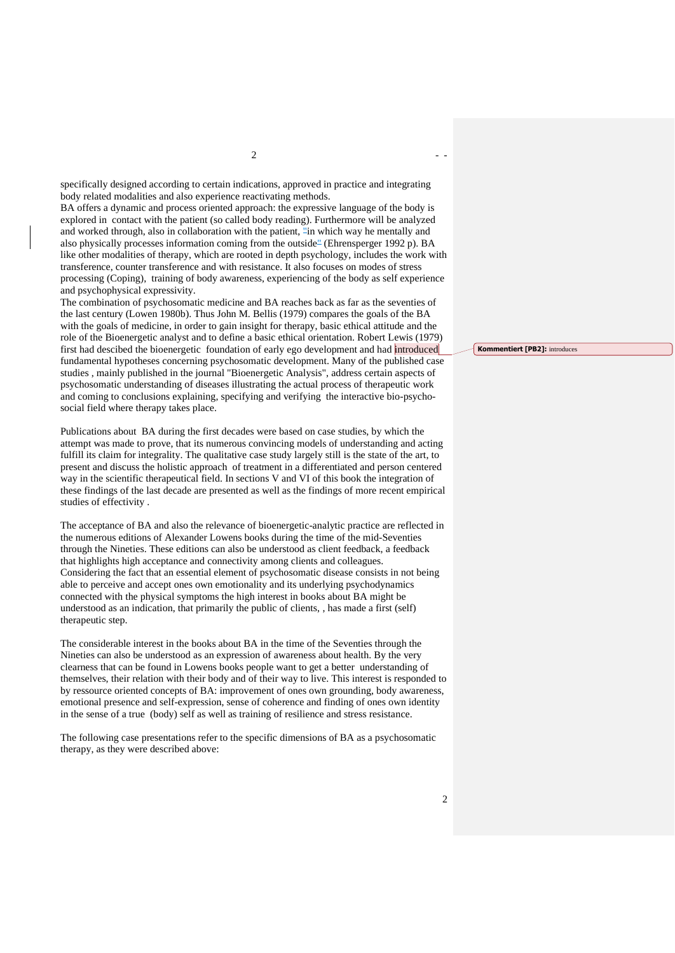specifically designed according to certain indications, approved in practice and integrating body related modalities and also experience reactivating methods.

BA offers a dynamic and process oriented approach: the expressive language of the body is explored in contact with the patient (so called body reading). Furthermore will be analyzed and worked through, also in collaboration with the patient, "in which way he mentally and also physically processes information coming from the outside" (Ehrensperger 1992 p). BA like other modalities of therapy, which are rooted in depth psychology, includes the work with transference, counter transference and with resistance. It also focuses on modes of stress processing (Coping), training of body awareness, experiencing of the body as self experience and psychophysical expressivity.

The combination of psychosomatic medicine and BA reaches back as far as the seventies of the last century (Lowen 1980b). Thus John M. Bellis (1979) compares the goals of the BA with the goals of medicine, in order to gain insight for therapy, basic ethical attitude and the role of the Bioenergetic analyst and to define a basic ethical orientation. Robert Lewis (1979) first had descibed the bioenergetic foundation of early ego development and had introduced fundamental hypotheses concerning psychosomatic development. Many of the published case studies , mainly published in the journal "Bioenergetic Analysis", address certain aspects of psychosomatic understanding of diseases illustrating the actual process of therapeutic work and coming to conclusions explaining, specifying and verifying the interactive bio-psychosocial field where therapy takes place.

Publications about BA during the first decades were based on case studies, by which the attempt was made to prove, that its numerous convincing models of understanding and acting fulfill its claim for integrality. The qualitative case study largely still is the state of the art, to present and discuss the holistic approach of treatment in a differentiated and person centered way in the scientific therapeutical field. In sections V and VI of this book the integration of these findings of the last decade are presented as well as the findings of more recent empirical studies of effectivity .

The acceptance of BA and also the relevance of bioenergetic-analytic practice are reflected in the numerous editions of Alexander Lowens books during the time of the mid-Seventies through the Nineties. These editions can also be understood as client feedback, a feedback that highlights high acceptance and connectivity among clients and colleagues. Considering the fact that an essential element of psychosomatic disease consists in not being able to perceive and accept ones own emotionality and its underlying psychodynamics connected with the physical symptoms the high interest in books about BA might be understood as an indication, that primarily the public of clients, , has made a first (self) therapeutic step.

The considerable interest in the books about BA in the time of the Seventies through the Nineties can also be understood as an expression of awareness about health. By the very clearness that can be found in Lowens books people want to get a better understanding of themselves, their relation with their body and of their way to live. This interest is responded to by ressource oriented concepts of BA: improvement of ones own grounding, body awareness, emotional presence and self-expression, sense of coherence and finding of ones own identity in the sense of a true (body) self as well as training of resilience and stress resistance.

The following case presentations refer to the specific dimensions of BA as a psychosomatic therapy, as they were described above:

**Kommentiert [PB2]:** introduces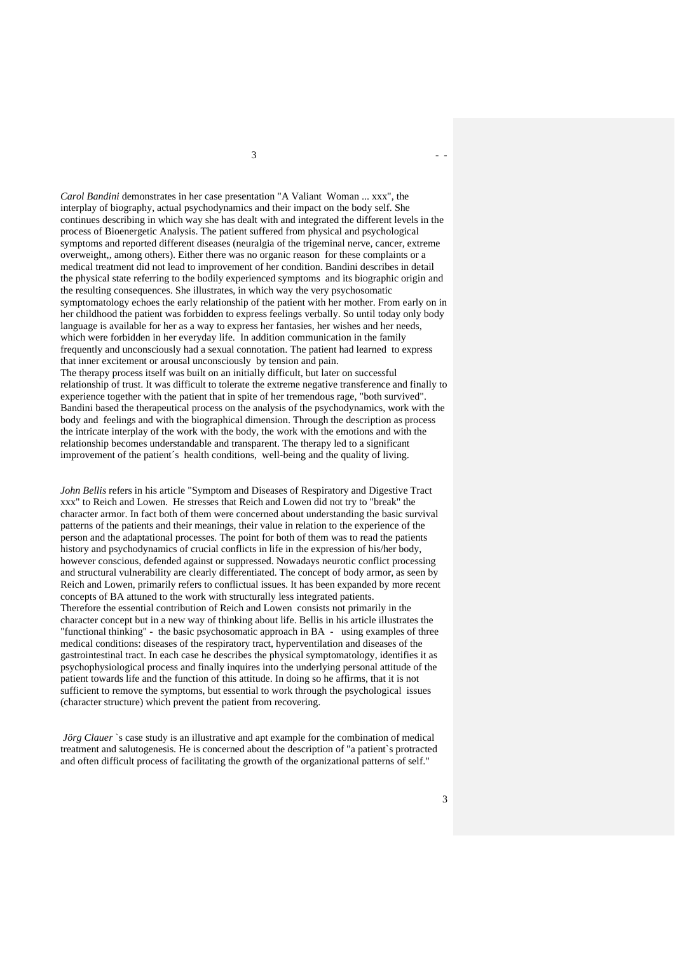$3 \left( \frac{1}{2} \right)$ 

*Carol Bandini* demonstrates in her case presentation "A Valiant Woman ... xxx", the interplay of biography, actual psychodynamics and their impact on the body self. She continues describing in which way she has dealt with and integrated the different levels in the process of Bioenergetic Analysis. The patient suffered from physical and psychological symptoms and reported different diseases (neuralgia of the trigeminal nerve, cancer, extreme overweight,, among others). Either there was no organic reason for these complaints or a medical treatment did not lead to improvement of her condition. Bandini describes in detail the physical state referring to the bodily experienced symptoms and its biographic origin and the resulting consequences. She illustrates, in which way the very psychosomatic symptomatology echoes the early relationship of the patient with her mother. From early on in her childhood the patient was forbidden to express feelings verbally. So until today only body language is available for her as a way to express her fantasies, her wishes and her needs, which were forbidden in her everyday life. In addition communication in the family frequently and unconsciously had a sexual connotation. The patient had learned to express that inner excitement or arousal unconsciously by tension and pain. The therapy process itself was built on an initially difficult, but later on successful relationship of trust. It was difficult to tolerate the extreme negative transference and finally to experience together with the patient that in spite of her tremendous rage, "both survived". Bandini based the therapeutical process on the analysis of the psychodynamics, work with the body and feelings and with the biographical dimension. Through the description as process the intricate interplay of the work with the body, the work with the emotions and with the relationship becomes understandable and transparent. The therapy led to a significant improvement of the patient´s health conditions, well-being and the quality of living.

*John Bellis* refers in his article "Symptom and Diseases of Respiratory and Digestive Tract xxx" to Reich and Lowen. He stresses that Reich and Lowen did not try to "break" the character armor. In fact both of them were concerned about understanding the basic survival patterns of the patients and their meanings, their value in relation to the experience of the person and the adaptational processes. The point for both of them was to read the patients history and psychodynamics of crucial conflicts in life in the expression of his/her body, however conscious, defended against or suppressed. Nowadays neurotic conflict processing and structural vulnerability are clearly differentiated. The concept of body armor, as seen by Reich and Lowen, primarily refers to conflictual issues. It has been expanded by more recent concepts of BA attuned to the work with structurally less integrated patients. Therefore the essential contribution of Reich and Lowen consists not primarily in the character concept but in a new way of thinking about life. Bellis in his article illustrates the "functional thinking" - the basic psychosomatic approach in BA - using examples of three medical conditions: diseases of the respiratory tract, hyperventilation and diseases of the gastrointestinal tract. In each case he describes the physical symptomatology, identifies it as psychophysiological process and finally inquires into the underlying personal attitude of the patient towards life and the function of this attitude. In doing so he affirms, that it is not sufficient to remove the symptoms, but essential to work through the psychological issues (character structure) which prevent the patient from recovering.

*Jörg Clauer* `s case study is an illustrative and apt example for the combination of medical treatment and salutogenesis. He is concerned about the description of "a patient`s protracted and often difficult process of facilitating the growth of the organizational patterns of self."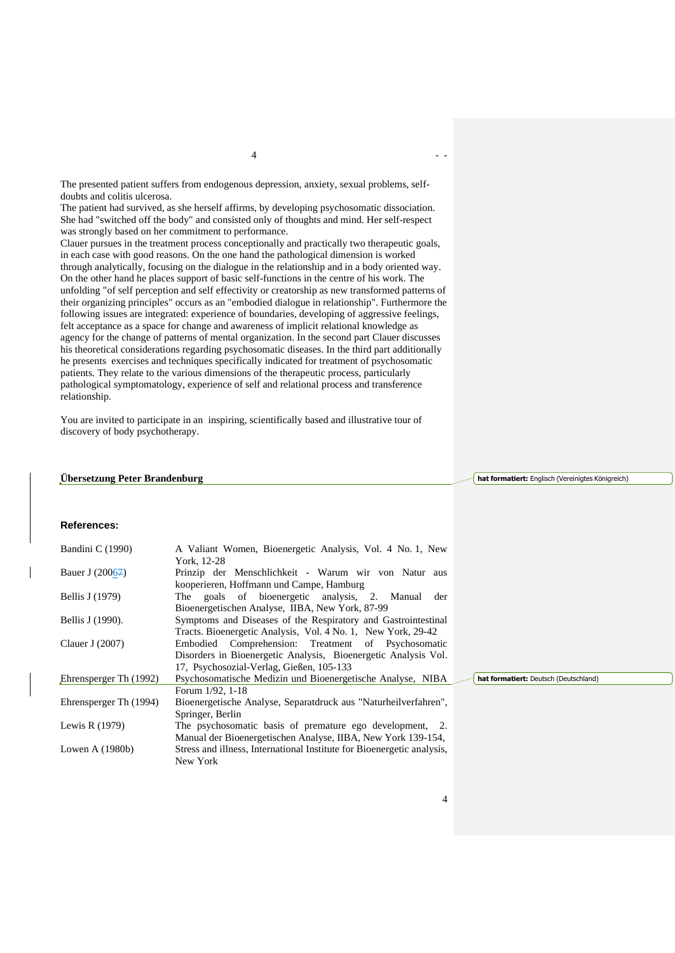The presented patient suffers from endogenous depression, anxiety, sexual problems, selfdoubts and colitis ulcerosa.

The patient had survived, as she herself affirms, by developing psychosomatic dissociation. She had "switched off the body" and consisted only of thoughts and mind. Her self-respect was strongly based on her commitment to performance.

Clauer pursues in the treatment process conceptionally and practically two therapeutic goals, in each case with good reasons. On the one hand the pathological dimension is worked through analytically, focusing on the dialogue in the relationship and in a body oriented way. On the other hand he places support of basic self-functions in the centre of his work. The unfolding "of self perception and self effectivity or creatorship as new transformed patterns of their organizing principles" occurs as an "embodied dialogue in relationship". Furthermore the following issues are integrated: experience of boundaries, developing of aggressive feelings, felt acceptance as a space for change and awareness of implicit relational knowledge as agency for the change of patterns of mental organization. In the second part Clauer discusses his theoretical considerations regarding psychosomatic diseases. In the third part additionally he presents exercises and techniques specifically indicated for treatment of psychosomatic patients. They relate to the various dimensions of the therapeutic process, particularly pathological symptomatology, experience of self and relational process and transference relationship.

You are invited to participate in an inspiring, scientifically based and illustrative tour of discovery of body psychotherapy.

## **Übersetzung Peter Brandenburg**

**hat formatiert:** Englisch (Vereinigtes Königreich)

## **References:**

| Bandini C (1990)       | A Valiant Women, Bioenergetic Analysis, Vol. 4 No. 1, New              |                                       |
|------------------------|------------------------------------------------------------------------|---------------------------------------|
|                        | York, 12-28                                                            |                                       |
| Bauer J (20067)        | Prinzip der Menschlichkeit - Warum wir von Natur aus                   |                                       |
|                        | kooperieren, Hoffmann und Campe, Hamburg                               |                                       |
| Bellis J (1979)        | The goals of bioenergetic analysis, 2. Manual der                      |                                       |
|                        | Bioenergetischen Analyse, IIBA, New York, 87-99                        |                                       |
| Bellis J (1990).       | Symptoms and Diseases of the Respiratory and Gastrointestinal          |                                       |
|                        | Tracts. Bioenergetic Analysis, Vol. 4 No. 1, New York, 29-42           |                                       |
| Clauer J $(2007)$      | Embodied Comprehension: Treatment of Psychosomatic                     |                                       |
|                        | Disorders in Bioenergetic Analysis, Bioenergetic Analysis Vol.         |                                       |
|                        | 17, Psychosozial-Verlag, Gießen, 105-133                               |                                       |
| Ehrensperger Th (1992) | Psychosomatische Medizin und Bioenergetische Analyse, NIBA             | hat formatiert: Deutsch (Deutschland) |
|                        | Forum $1/92$ , 1-18                                                    |                                       |
| Ehrensperger Th (1994) | Bioenergetische Analyse, Separatdruck aus "Naturheilverfahren",        |                                       |
|                        | Springer, Berlin                                                       |                                       |
| Lewis R $(1979)$       | The psychosomatic basis of premature ego development, 2.               |                                       |
|                        | Manual der Bioenergetischen Analyse, IIBA, New York 139-154,           |                                       |
| Lowen A $(1980b)$      | Stress and illness, International Institute for Bioenergetic analysis, |                                       |
|                        | New York                                                               |                                       |

4